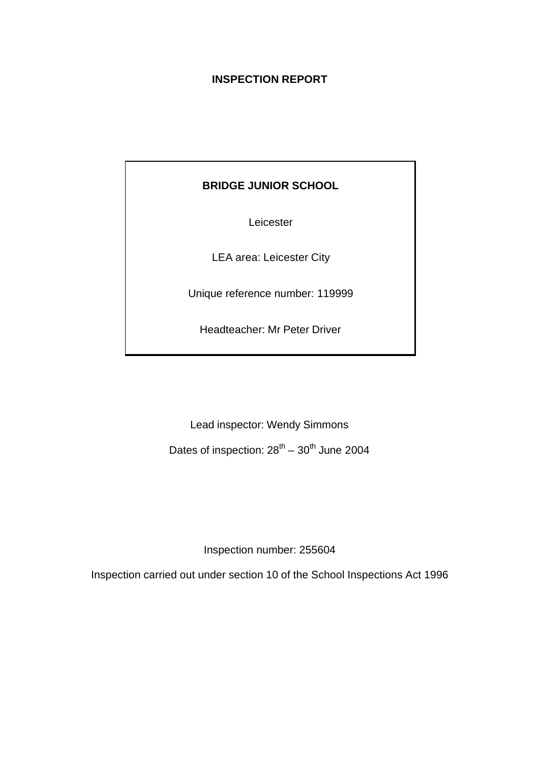# **INSPECTION REPORT**

# **BRIDGE JUNIOR SCHOOL**

Leicester

LEA area: Leicester City

Unique reference number: 119999

Headteacher: Mr Peter Driver

Lead inspector: Wendy Simmons

Dates of inspection:  $28^{th} - 30^{th}$  June 2004

Inspection number: 255604

Inspection carried out under section 10 of the School Inspections Act 1996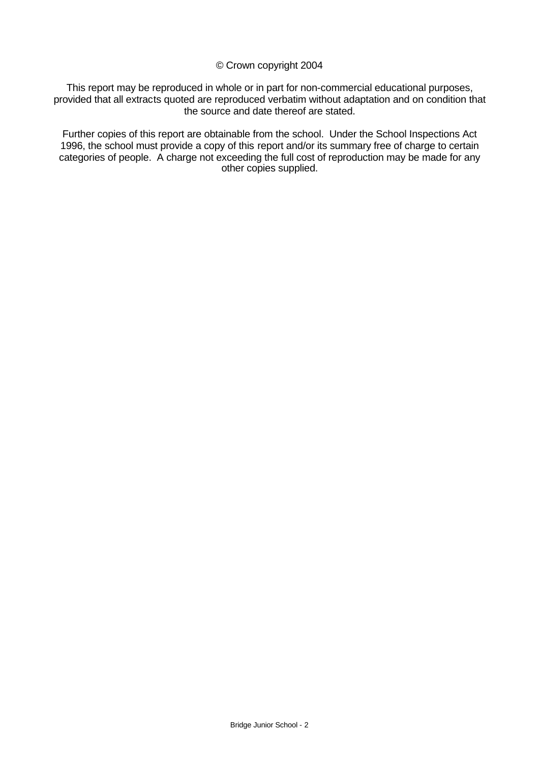#### © Crown copyright 2004

This report may be reproduced in whole or in part for non-commercial educational purposes, provided that all extracts quoted are reproduced verbatim without adaptation and on condition that the source and date thereof are stated.

Further copies of this report are obtainable from the school. Under the School Inspections Act 1996, the school must provide a copy of this report and/or its summary free of charge to certain categories of people. A charge not exceeding the full cost of reproduction may be made for any other copies supplied.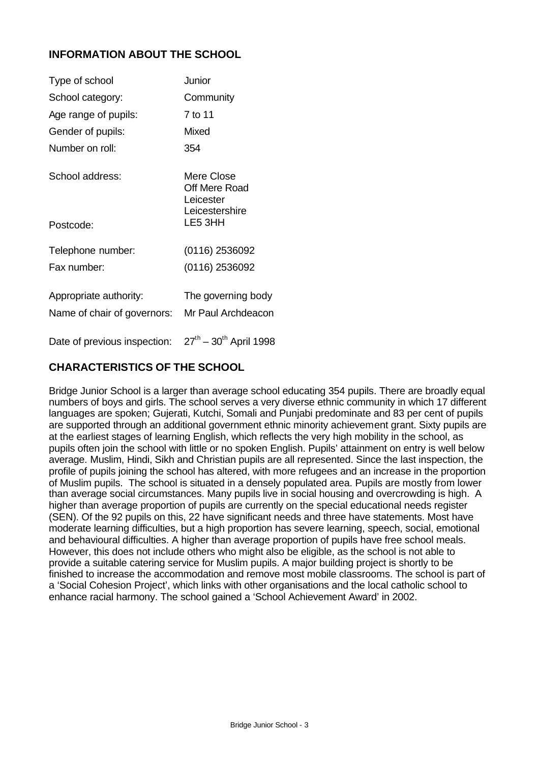# **INFORMATION ABOUT THE SCHOOL**

| Type of school                                        | Junior                                                     |
|-------------------------------------------------------|------------------------------------------------------------|
| School category:                                      | Community                                                  |
| Age range of pupils:                                  | 7 to 11                                                    |
| Gender of pupils:                                     | Mixed                                                      |
| Number on roll:                                       | 354                                                        |
| School address:                                       | Mere Close<br>Off Mere Road<br>Leicester<br>Leicestershire |
| Postcode:                                             | LE5 3HH                                                    |
| Telephone number:                                     | (0116) 2536092                                             |
| Fax number:                                           | (0116) 2536092                                             |
| Appropriate authority:<br>Name of chair of governors: | The governing body<br>Mr Paul Archdeacon                   |
| Date of previous inspection:                          | $27^{th} - 30^{th}$ April 1998                             |

# **CHARACTERISTICS OF THE SCHOOL**

Bridge Junior School is a larger than average school educating 354 pupils. There are broadly equal numbers of boys and girls. The school serves a very diverse ethnic community in which 17 different languages are spoken; Gujerati, Kutchi, Somali and Punjabi predominate and 83 per cent of pupils are supported through an additional government ethnic minority achievement grant. Sixty pupils are at the earliest stages of learning English, which reflects the very high mobility in the school, as pupils often join the school with little or no spoken English. Pupils' attainment on entry is well below average. Muslim, Hindi, Sikh and Christian pupils are all represented. Since the last inspection, the profile of pupils joining the school has altered, with more refugees and an increase in the proportion of Muslim pupils. The school is situated in a densely populated area. Pupils are mostly from lower than average social circumstances. Many pupils live in social housing and overcrowding is high. A higher than average proportion of pupils are currently on the special educational needs register (SEN). Of the 92 pupils on this, 22 have significant needs and three have statements. Most have moderate learning difficulties, but a high proportion has severe learning, speech, social, emotional and behavioural difficulties. A higher than average proportion of pupils have free school meals. However, this does not include others who might also be eligible, as the school is not able to provide a suitable catering service for Muslim pupils. A major building project is shortly to be finished to increase the accommodation and remove most mobile classrooms. The school is part of a 'Social Cohesion Project', which links with other organisations and the local catholic school to enhance racial harmony. The school gained a 'School Achievement Award' in 2002.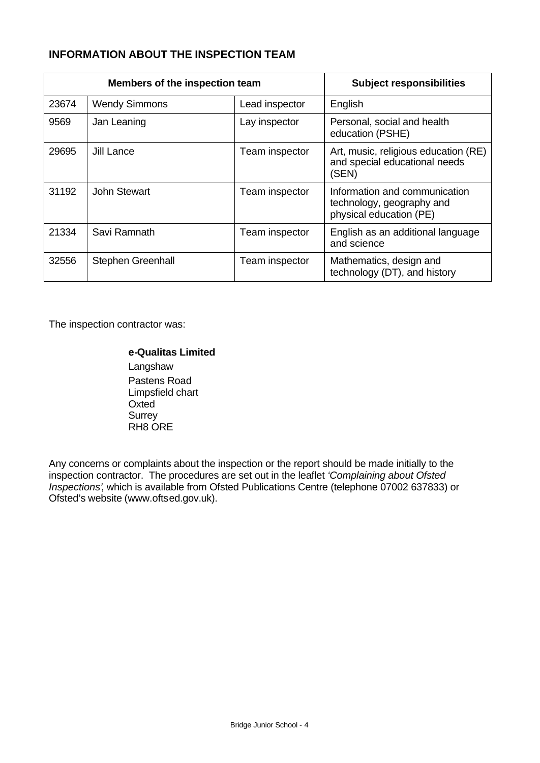# **INFORMATION ABOUT THE INSPECTION TEAM**

| Members of the inspection team |                      |                | <b>Subject responsibilities</b>                                                       |
|--------------------------------|----------------------|----------------|---------------------------------------------------------------------------------------|
| 23674                          | <b>Wendy Simmons</b> | Lead inspector | English                                                                               |
| 9569                           | Jan Leaning          | Lay inspector  | Personal, social and health<br>education (PSHE)                                       |
| 29695                          | Jill Lance           | Team inspector | Art, music, religious education (RE)<br>and special educational needs<br>(SEN)        |
| 31192                          | <b>John Stewart</b>  | Team inspector | Information and communication<br>technology, geography and<br>physical education (PE) |
| 21334                          | Savi Ramnath         | Team inspector | English as an additional language<br>and science                                      |
| 32556                          | Stephen Greenhall    | Team inspector | Mathematics, design and<br>technology (DT), and history                               |

The inspection contractor was:

# **e-Qualitas Limited**

Langshaw Pastens Road Limpsfield chart Oxted **Surrey** RH8 ORE

Any concerns or complaints about the inspection or the report should be made initially to the inspection contractor. The procedures are set out in the leaflet *'Complaining about Ofsted Inspections'*, which is available from Ofsted Publications Centre (telephone 07002 637833) or Ofsted's website (www.oftsed.gov.uk).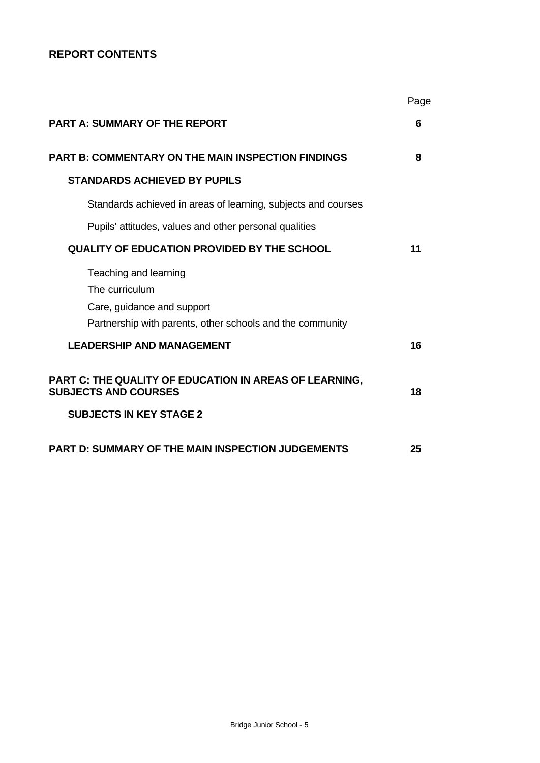# **REPORT CONTENTS**

|                                                                                                                                    | Page |
|------------------------------------------------------------------------------------------------------------------------------------|------|
| <b>PART A: SUMMARY OF THE REPORT</b>                                                                                               | 6    |
| <b>PART B: COMMENTARY ON THE MAIN INSPECTION FINDINGS</b>                                                                          | 8    |
| <b>STANDARDS ACHIEVED BY PUPILS</b>                                                                                                |      |
| Standards achieved in areas of learning, subjects and courses                                                                      |      |
| Pupils' attitudes, values and other personal qualities                                                                             |      |
| QUALITY OF EDUCATION PROVIDED BY THE SCHOOL                                                                                        | 11   |
| Teaching and learning<br>The curriculum<br>Care, guidance and support<br>Partnership with parents, other schools and the community |      |
| <b>LEADERSHIP AND MANAGEMENT</b>                                                                                                   | 16   |
| PART C: THE QUALITY OF EDUCATION IN AREAS OF LEARNING,<br><b>SUBJECTS AND COURSES</b>                                              | 18   |
| <b>SUBJECTS IN KEY STAGE 2</b>                                                                                                     |      |
| <b>PART D: SUMMARY OF THE MAIN INSPECTION JUDGEMENTS</b>                                                                           | 25   |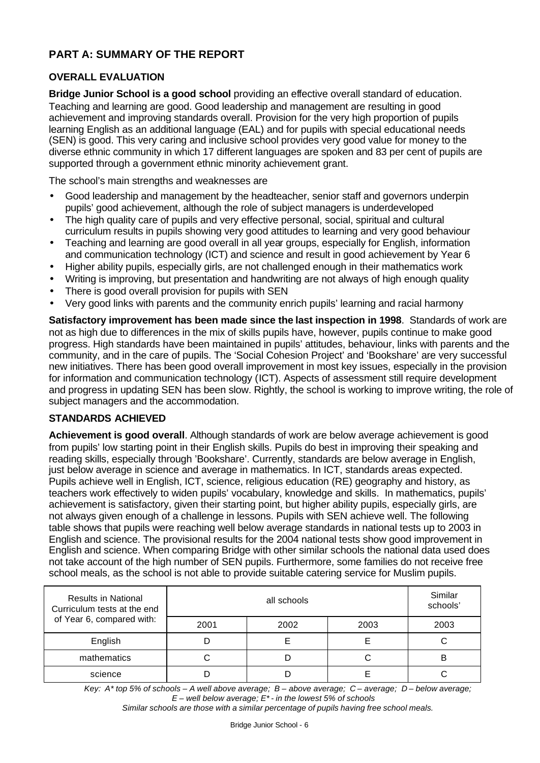# **PART A: SUMMARY OF THE REPORT**

## **OVERALL EVALUATION**

**Bridge Junior School is a good school** providing an effective overall standard of education. Teaching and learning are good. Good leadership and management are resulting in good achievement and improving standards overall. Provision for the very high proportion of pupils learning English as an additional language (EAL) and for pupils with special educational needs (SEN) is good. This very caring and inclusive school provides very good value for money to the diverse ethnic community in which 17 different languages are spoken and 83 per cent of pupils are supported through a government ethnic minority achievement grant.

The school's main strengths and weaknesses are

- Good leadership and management by the headteacher, senior staff and governors underpin pupils' good achievement, although the role of subject managers is underdeveloped
- The high quality care of pupils and very effective personal, social, spiritual and cultural curriculum results in pupils showing very good attitudes to learning and very good behaviour
- Teaching and learning are good overall in all year groups, especially for English, information and communication technology (ICT) and science and result in good achievement by Year 6
- Higher ability pupils, especially girls, are not challenged enough in their mathematics work
- Writing is improving, but presentation and handwriting are not always of high enough quality
- There is good overall provision for pupils with SEN
- Very good links with parents and the community enrich pupils' learning and racial harmony

**Satisfactory improvement has been made since the last inspection in 1998**. Standards of work are not as high due to differences in the mix of skills pupils have, however, pupils continue to make good progress. High standards have been maintained in pupils' attitudes, behaviour, links with parents and the community, and in the care of pupils. The 'Social Cohesion Project' and 'Bookshare' are very successful new initiatives. There has been good overall improvement in most key issues, especially in the provision for information and communication technology (ICT). Aspects of assessment still require development and progress in updating SEN has been slow. Rightly, the school is working to improve writing, the role of subject managers and the accommodation.

#### **STANDARDS ACHIEVED**

**Achievement is good overall**. Although standards of work are below average achievement is good from pupils' low starting point in their English skills. Pupils do best in improving their speaking and reading skills, especially through 'Bookshare'. Currently, standards are below average in English, just below average in science and average in mathematics. In ICT, standards areas expected. Pupils achieve well in English, ICT, science, religious education (RE) geography and history, as teachers work effectively to widen pupils' vocabulary, knowledge and skills. In mathematics, pupils' achievement is satisfactory, given their starting point, but higher ability pupils, especially girls, are not always given enough of a challenge in lessons. Pupils with SEN achieve well. The following table shows that pupils were reaching well below average standards in national tests up to 2003 in English and science. The provisional results for the 2004 national tests show good improvement in English and science. When comparing Bridge with other similar schools the national data used does not take account of the high number of SEN pupils. Furthermore, some families do not receive free school meals, as the school is not able to provide suitable catering service for Muslim pupils.

| <b>Results in National</b><br>Curriculum tests at the end |      | Similar<br>schools' |      |   |
|-----------------------------------------------------------|------|---------------------|------|---|
| of Year 6, compared with:                                 | 2001 | 2003                | 2003 |   |
| English                                                   |      |                     |      | U |
| mathematics                                               |      |                     |      |   |
| science                                                   |      |                     |      |   |

*Key: A\* top 5% of schools – A well above average; B – above average; C – average; D – below average; E – well below average; E\* - in the lowest 5% of schools*

*Similar schools are those with a similar percentage of pupils having free school meals.*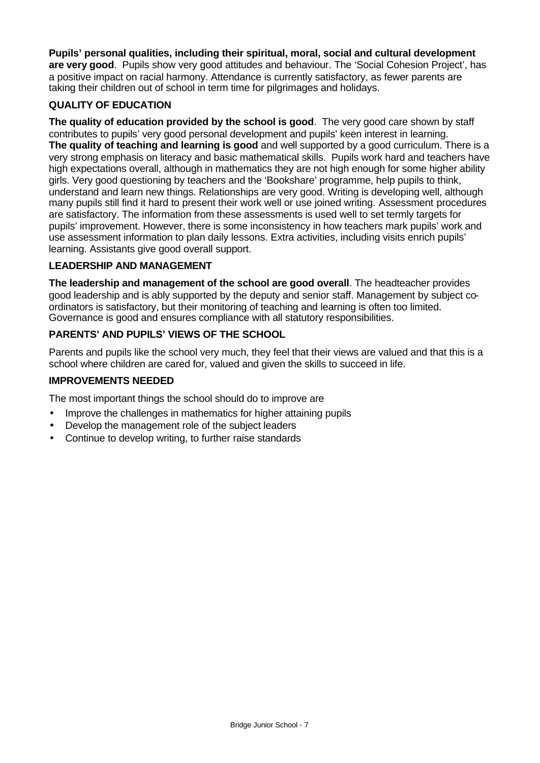**Pupils' personal qualities, including their spiritual, moral, social and cultural development are very good**. Pupils show very good attitudes and behaviour. The 'Social Cohesion Project', has a positive impact on racial harmony. Attendance is currently satisfactory, as fewer parents are taking their children out of school in term time for pilgrimages and holidays.

## **QUALITY OF EDUCATION**

**The quality of education provided by the school is good**. The very good care shown by staff contributes to pupils' very good personal development and pupils' keen interest in learning. **The quality of teaching and learning is good** and well supported by a good curriculum. There is a very strong emphasis on literacy and basic mathematical skills. Pupils work hard and teachers have high expectations overall, although in mathematics they are not high enough for some higher ability girls. Very good questioning by teachers and the 'Bookshare' programme, help pupils to think, understand and learn new things. Relationships are very good. Writing is developing well, although many pupils still find it hard to present their work well or use joined writing. Assessment procedures are satisfactory. The information from these assessments is used well to set termly targets for pupils' improvement. However, there is some inconsistency in how teachers mark pupils' work and use assessment information to plan daily lessons. Extra activities, including visits enrich pupils' learning. Assistants give good overall support.

#### **LEADERSHIP AND MANAGEMENT**

**The leadership and management of the school are good overall**. The headteacher provides good leadership and is ably supported by the deputy and senior staff. Management by subject coordinators is satisfactory, but their monitoring of teaching and learning is often too limited. Governance is good and ensures compliance with all statutory responsibilities.

# **PARENTS' AND PUPILS' VIEWS OF THE SCHOOL**

Parents and pupils like the school very much, they feel that their views are valued and that this is a school where children are cared for, valued and given the skills to succeed in life.

## **IMPROVEMENTS NEEDED**

The most important things the school should do to improve are

- Improve the challenges in mathematics for higher attaining pupils
- Develop the management role of the subject leaders
- Continue to develop writing, to further raise standards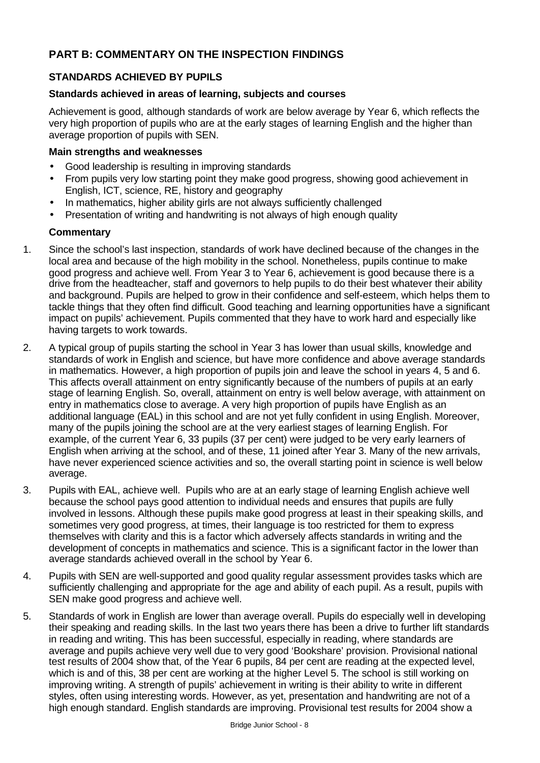# **PART B: COMMENTARY ON THE INSPECTION FINDINGS**

# **STANDARDS ACHIEVED BY PUPILS**

## **Standards achieved in areas of learning, subjects and courses**

Achievement is good, although standards of work are below average by Year 6, which reflects the very high proportion of pupils who are at the early stages of learning English and the higher than average proportion of pupils with SEN.

### **Main strengths and weaknesses**

- Good leadership is resulting in improving standards
- From pupils very low starting point they make good progress, showing good achievement in English, ICT, science, RE, history and geography
- In mathematics, higher ability girls are not always sufficiently challenged
- Presentation of writing and handwriting is not always of high enough quality

- 1. Since the school's last inspection, standards of work have declined because of the changes in the local area and because of the high mobility in the school. Nonetheless, pupils continue to make good progress and achieve well. From Year 3 to Year 6, achievement is good because there is a drive from the headteacher, staff and governors to help pupils to do their best whatever their ability and background. Pupils are helped to grow in their confidence and self-esteem, which helps them to tackle things that they often find difficult. Good teaching and learning opportunities have a significant impact on pupils' achievement. Pupils commented that they have to work hard and especially like having targets to work towards.
- 2. A typical group of pupils starting the school in Year 3 has lower than usual skills, knowledge and standards of work in English and science, but have more confidence and above average standards in mathematics. However, a high proportion of pupils join and leave the school in years 4, 5 and 6. This affects overall attainment on entry significantly because of the numbers of pupils at an early stage of learning English. So, overall, attainment on entry is well below average, with attainment on entry in mathematics close to average. A very high proportion of pupils have English as an additional language (EAL) in this school and are not yet fully confident in using English. Moreover, many of the pupils joining the school are at the very earliest stages of learning English. For example, of the current Year 6, 33 pupils (37 per cent) were judged to be very early learners of English when arriving at the school, and of these, 11 joined after Year 3. Many of the new arrivals, have never experienced science activities and so, the overall starting point in science is well below average.
- 3. Pupils with EAL, achieve well. Pupils who are at an early stage of learning English achieve well because the school pays good attention to individual needs and ensures that pupils are fully involved in lessons. Although these pupils make good progress at least in their speaking skills, and sometimes very good progress, at times, their language is too restricted for them to express themselves with clarity and this is a factor which adversely affects standards in writing and the development of concepts in mathematics and science. This is a significant factor in the lower than average standards achieved overall in the school by Year 6.
- 4. Pupils with SEN are well-supported and good quality regular assessment provides tasks which are sufficiently challenging and appropriate for the age and ability of each pupil. As a result, pupils with SEN make good progress and achieve well.
- 5. Standards of work in English are lower than average overall. Pupils do especially well in developing their speaking and reading skills. In the last two years there has been a drive to further lift standards in reading and writing. This has been successful, especially in reading, where standards are average and pupils achieve very well due to very good 'Bookshare' provision. Provisional national test results of 2004 show that, of the Year 6 pupils, 84 per cent are reading at the expected level, which is and of this, 38 per cent are working at the higher Level 5. The school is still working on improving writing. A strength of pupils' achievement in writing is their ability to write in different styles, often using interesting words. However, as yet, presentation and handwriting are not of a high enough standard. English standards are improving. Provisional test results for 2004 show a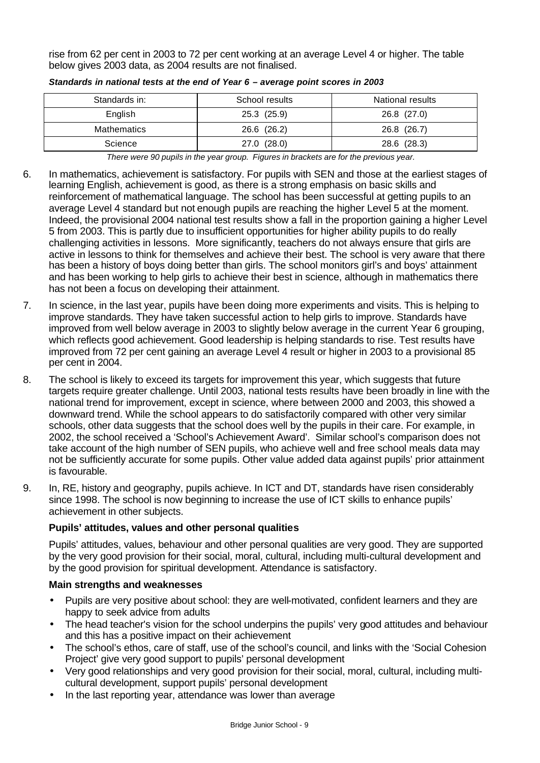rise from 62 per cent in 2003 to 72 per cent working at an average Level 4 or higher. The table below gives 2003 data, as 2004 results are not finalised.

| Standards in: | School results | National results |
|---------------|----------------|------------------|
| English       | 25.3 (25.9)    | 26.8 (27.0)      |
| Mathematics   | 26.6 (26.2)    | 26.8 (26.7)      |
| Science       | 27.0 (28.0)    | 28.6 (28.3)      |

*Standards in national tests at the end of Year 6 – average point scores in 2003*

*There were 90 pupils in the year group. Figures in brackets are for the previous year.*

- 6. In mathematics, achievement is satisfactory. For pupils with SEN and those at the earliest stages of learning English, achievement is good, as there is a strong emphasis on basic skills and reinforcement of mathematical language. The school has been successful at getting pupils to an average Level 4 standard but not enough pupils are reaching the higher Level 5 at the moment. Indeed, the provisional 2004 national test results show a fall in the proportion gaining a higher Level 5 from 2003. This is partly due to insufficient opportunities for higher ability pupils to do really challenging activities in lessons. More significantly, teachers do not always ensure that girls are active in lessons to think for themselves and achieve their best. The school is very aware that there has been a history of boys doing better than girls. The school monitors girl's and boys' attainment and has been working to help girls to achieve their best in science, although in mathematics there has not been a focus on developing their attainment.
- 7. In science, in the last year, pupils have been doing more experiments and visits. This is helping to improve standards. They have taken successful action to help girls to improve. Standards have improved from well below average in 2003 to slightly below average in the current Year 6 grouping, which reflects good achievement. Good leadership is helping standards to rise. Test results have improved from 72 per cent gaining an average Level 4 result or higher in 2003 to a provisional 85 per cent in 2004.
- 8. The school is likely to exceed its targets for improvement this year, which suggests that future targets require greater challenge. Until 2003, national tests results have been broadly in line with the national trend for improvement, except in science, where between 2000 and 2003, this showed a downward trend. While the school appears to do satisfactorily compared with other very similar schools, other data suggests that the school does well by the pupils in their care. For example, in 2002, the school received a 'School's Achievement Award'. Similar school's comparison does not take account of the high number of SEN pupils, who achieve well and free school meals data may not be sufficiently accurate for some pupils. Other value added data against pupils' prior attainment is favourable.
- 9. In, RE, history and geography, pupils achieve. In ICT and DT, standards have risen considerably since 1998. The school is now beginning to increase the use of ICT skills to enhance pupils' achievement in other subjects.

## **Pupils' attitudes, values and other personal qualities**

Pupils' attitudes, values, behaviour and other personal qualities are very good. They are supported by the very good provision for their social, moral, cultural, including multi-cultural development and by the good provision for spiritual development. Attendance is satisfactory.

#### **Main strengths and weaknesses**

- Pupils are very positive about school: they are well-motivated, confident learners and they are happy to seek advice from adults
- The head teacher's vision for the school underpins the pupils' very good attitudes and behaviour and this has a positive impact on their achievement
- The school's ethos, care of staff, use of the school's council, and links with the 'Social Cohesion Project' give very good support to pupils' personal development
- Very good relationships and very good provision for their social, moral, cultural, including multicultural development, support pupils' personal development
- In the last reporting year, attendance was lower than average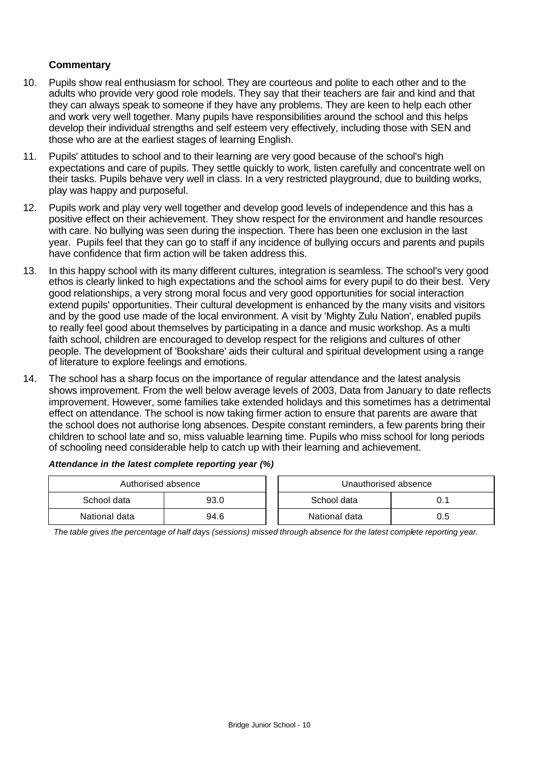#### **Commentary**

- 10. Pupils show real enthusiasm for school. They are courteous and polite to each other and to the adults who provide very good role models. They say that their teachers are fair and kind and that they can always speak to someone if they have any problems. They are keen to help each other and work very well together. Many pupils have responsibilities around the school and this helps develop their individual strengths and self esteem very effectively, including those with SEN and those who are at the earliest stages of learning English.
- 11. Pupils' attitudes to school and to their learning are very good because of the school's high expectations and care of pupils. They settle quickly to work, listen carefully and concentrate well on their tasks. Pupils behave very well in class. In a very restricted playground, due to building works, play was happy and purposeful.
- 12. Pupils work and play very well together and develop good levels of independence and this has a positive effect on their achievement. They show respect for the environment and handle resources with care. No bullying was seen during the inspection. There has been one exclusion in the last year. Pupils feel that they can go to staff if any incidence of bullying occurs and parents and pupils have confidence that firm action will be taken address this.
- 13. In this happy school with its many different cultures, integration is seamless. The school's very good ethos is clearly linked to high expectations and the school aims for every pupil to do their best. Very good relationships, a very strong moral focus and very good opportunities for social interaction extend pupils' opportunities. Their cultural development is enhanced by the many visits and visitors and by the good use made of the local environment. A visit by 'Mighty Zulu Nation', enabled pupils to really feel good about themselves by participating in a dance and music workshop. As a multi faith school, children are encouraged to develop respect for the religions and cultures of other people. The development of 'Bookshare' aids their cultural and spiritual development using a range of literature to explore feelings and emotions.
- 14. The school has a sharp focus on the importance of regular attendance and the latest analysis shows improvement. From the well below average levels of 2003, Data from January to date reflects improvement. However, some families take extended holidays and this sometimes has a detrimental effect on attendance. The school is now taking firmer action to ensure that parents are aware that the school does not authorise long absences. Despite constant reminders, a few parents bring their children to school late and so, miss valuable learning time. Pupils who miss school for long periods of schooling need considerable help to catch up with their learning and achievement.

| Authorised absence |      |  | Unauthorised absence |     |
|--------------------|------|--|----------------------|-----|
| School data        | 93.0 |  | School data          | 0.1 |
| National data      | 94.6 |  | National data        | 0.5 |

#### *Attendance in the latest complete reporting year (%)*

*The table gives the percentage of half days (sessions) missed through absence for the latest complete reporting year.*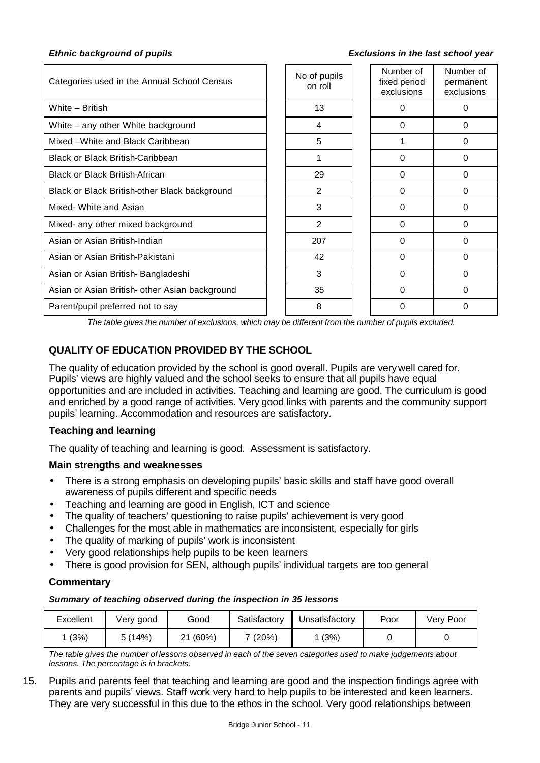#### *Ethnic background of pupils Exclusions in the last school year*

| Categories used in the Annual School Census    | No of pupils<br>on roll | Number of<br>fixed period<br>exclusions | Number of<br>permanent<br>exclusions |
|------------------------------------------------|-------------------------|-----------------------------------------|--------------------------------------|
| White - British                                | 13                      | 0                                       | 0                                    |
| White – any other White background             | 4                       | 0                                       | 0                                    |
| Mixed -White and Black Caribbean               | 5                       |                                         | 0                                    |
| <b>Black or Black British-Caribbean</b>        |                         | 0                                       | 0                                    |
| <b>Black or Black British-African</b>          | 29                      | 0                                       | 0                                    |
| Black or Black British-other Black background  | 2                       | 0                                       | 0                                    |
| Mixed- White and Asian                         | 3                       | 0                                       | 0                                    |
| Mixed- any other mixed background              | 2                       | 0                                       | 0                                    |
| Asian or Asian British-Indian                  | 207                     | $\Omega$                                | 0                                    |
| Asian or Asian British-Pakistani               | 42                      | 0                                       | 0                                    |
| Asian or Asian British-Bangladeshi             | 3                       | $\Omega$                                | 0                                    |
| Asian or Asian British- other Asian background | 35                      | 0                                       | 0                                    |
| Parent/pupil preferred not to say              | 8                       | 0                                       | 0                                    |

*The table gives the number of exclusions, which may be different from the number of pupils excluded.*

## **QUALITY OF EDUCATION PROVIDED BY THE SCHOOL**

The quality of education provided by the school is good overall. Pupils are very well cared for. Pupils' views are highly valued and the school seeks to ensure that all pupils have equal opportunities and are included in activities. Teaching and learning are good. The curriculum is good and enriched by a good range of activities. Very good links with parents and the community support pupils' learning. Accommodation and resources are satisfactory.

#### **Teaching and learning**

The quality of teaching and learning is good. Assessment is satisfactory.

#### **Main strengths and weaknesses**

- There is a strong emphasis on developing pupils' basic skills and staff have good overall awareness of pupils different and specific needs
- Teaching and learning are good in English, ICT and science
- The quality of teachers' questioning to raise pupils' achievement is very good
- Challenges for the most able in mathematics are inconsistent, especially for girls
- The quality of marking of pupils' work is inconsistent
- Very good relationships help pupils to be keen learners
- There is good provision for SEN, although pupils' individual targets are too general

## **Commentary**

#### *Summary of teaching observed during the inspection in 35 lessons*

| Excellent | Verv good | Good            | Satisfactory | Unsatisfactorv | Poor | Very Poor |
|-----------|-----------|-----------------|--------------|----------------|------|-----------|
| (3%)      | 5 (14%)   | (60%)<br>ີ<br>∠ | (20%)        | (3%)           |      |           |

*The table gives the number of lessons observed in each of the seven categories used to make judgements about lessons. The percentage is in brackets.*

15. Pupils and parents feel that teaching and learning are good and the inspection findings agree with parents and pupils' views. Staff work very hard to help pupils to be interested and keen learners. They are very successful in this due to the ethos in the school. Very good relationships between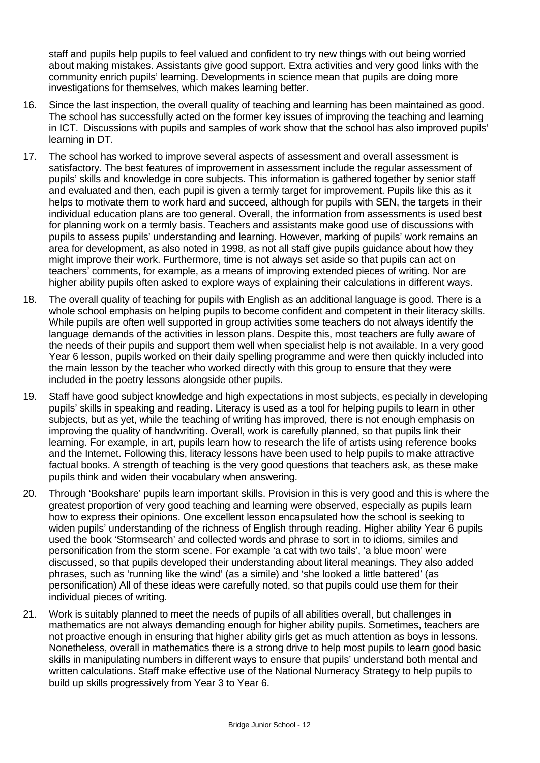staff and pupils help pupils to feel valued and confident to try new things with out being worried about making mistakes. Assistants give good support. Extra activities and very good links with the community enrich pupils' learning. Developments in science mean that pupils are doing more investigations for themselves, which makes learning better.

- 16. Since the last inspection, the overall quality of teaching and learning has been maintained as good. The school has successfully acted on the former key issues of improving the teaching and learning in ICT. Discussions with pupils and samples of work show that the school has also improved pupils' learning in DT.
- 17. The school has worked to improve several aspects of assessment and overall assessment is satisfactory. The best features of improvement in assessment include the regular assessment of pupils' skills and knowledge in core subjects. This information is gathered together by senior staff and evaluated and then, each pupil is given a termly target for improvement. Pupils like this as it helps to motivate them to work hard and succeed, although for pupils with SEN, the targets in their individual education plans are too general. Overall, the information from assessments is used best for planning work on a termly basis. Teachers and assistants make good use of discussions with pupils to assess pupils' understanding and learning. However, marking of pupils' work remains an area for development, as also noted in 1998, as not all staff give pupils guidance about how they might improve their work. Furthermore, time is not always set aside so that pupils can act on teachers' comments, for example, as a means of improving extended pieces of writing. Nor are higher ability pupils often asked to explore ways of explaining their calculations in different ways.
- 18. The overall quality of teaching for pupils with English as an additional language is good. There is a whole school emphasis on helping pupils to become confident and competent in their literacy skills. While pupils are often well supported in group activities some teachers do not always identify the language demands of the activities in lesson plans. Despite this, most teachers are fully aware of the needs of their pupils and support them well when specialist help is not available. In a very good Year 6 lesson, pupils worked on their daily spelling programme and were then quickly included into the main lesson by the teacher who worked directly with this group to ensure that they were included in the poetry lessons alongside other pupils.
- 19. Staff have good subject knowledge and high expectations in most subjects, especially in developing pupils' skills in speaking and reading. Literacy is used as a tool for helping pupils to learn in other subjects, but as yet, while the teaching of writing has improved, there is not enough emphasis on improving the quality of handwriting. Overall, work is carefully planned, so that pupils link their learning. For example, in art, pupils learn how to research the life of artists using reference books and the Internet. Following this, literacy lessons have been used to help pupils to make attractive factual books. A strength of teaching is the very good questions that teachers ask, as these make pupils think and widen their vocabulary when answering.
- 20. Through 'Bookshare' pupils learn important skills. Provision in this is very good and this is where the greatest proportion of very good teaching and learning were observed, especially as pupils learn how to express their opinions. One excellent lesson encapsulated how the school is seeking to widen pupils' understanding of the richness of English through reading. Higher ability Year 6 pupils used the book 'Stormsearch' and collected words and phrase to sort in to idioms, similes and personification from the storm scene. For example 'a cat with two tails', 'a blue moon' were discussed, so that pupils developed their understanding about literal meanings. They also added phrases, such as 'running like the wind' (as a simile) and 'she looked a little battered' (as personification) All of these ideas were carefully noted, so that pupils could use them for their individual pieces of writing.
- 21. Work is suitably planned to meet the needs of pupils of all abilities overall, but challenges in mathematics are not always demanding enough for higher ability pupils. Sometimes, teachers are not proactive enough in ensuring that higher ability girls get as much attention as boys in lessons. Nonetheless, overall in mathematics there is a strong drive to help most pupils to learn good basic skills in manipulating numbers in different ways to ensure that pupils' understand both mental and written calculations. Staff make effective use of the National Numeracy Strategy to help pupils to build up skills progressively from Year 3 to Year 6.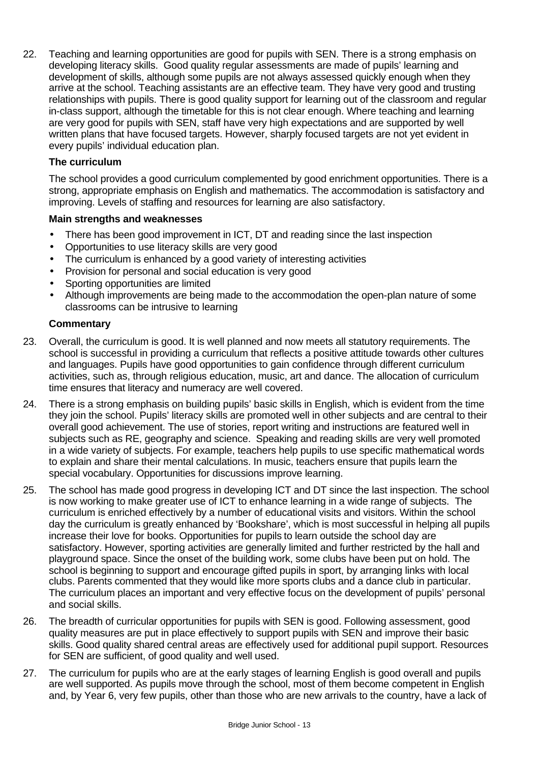22. Teaching and learning opportunities are good for pupils with SEN. There is a strong emphasis on developing literacy skills. Good quality regular assessments are made of pupils' learning and development of skills, although some pupils are not always assessed quickly enough when they arrive at the school. Teaching assistants are an effective team. They have very good and trusting relationships with pupils. There is good quality support for learning out of the classroom and regular in-class support, although the timetable for this is not clear enough. Where teaching and learning are very good for pupils with SEN, staff have very high expectations and are supported by well written plans that have focused targets. However, sharply focused targets are not yet evident in every pupils' individual education plan.

## **The curriculum**

The school provides a good curriculum complemented by good enrichment opportunities. There is a strong, appropriate emphasis on English and mathematics. The accommodation is satisfactory and improving. Levels of staffing and resources for learning are also satisfactory.

#### **Main strengths and weaknesses**

- There has been good improvement in ICT, DT and reading since the last inspection
- Opportunities to use literacy skills are very good
- The curriculum is enhanced by a good variety of interesting activities
- Provision for personal and social education is very good
- Sporting opportunities are limited
- Although improvements are being made to the accommodation the open-plan nature of some classrooms can be intrusive to learning

- 23. Overall, the curriculum is good. It is well planned and now meets all statutory requirements. The school is successful in providing a curriculum that reflects a positive attitude towards other cultures and languages. Pupils have good opportunities to gain confidence through different curriculum activities, such as, through religious education, music, art and dance. The allocation of curriculum time ensures that literacy and numeracy are well covered.
- 24. There is a strong emphasis on building pupils' basic skills in English, which is evident from the time they join the school. Pupils' literacy skills are promoted well in other subjects and are central to their overall good achievement. The use of stories, report writing and instructions are featured well in subjects such as RE, geography and science. Speaking and reading skills are very well promoted in a wide variety of subjects. For example, teachers help pupils to use specific mathematical words to explain and share their mental calculations. In music, teachers ensure that pupils learn the special vocabulary. Opportunities for discussions improve learning.
- 25. The school has made good progress in developing ICT and DT since the last inspection. The school is now working to make greater use of ICT to enhance learning in a wide range of subjects. The curriculum is enriched effectively by a number of educational visits and visitors. Within the school day the curriculum is greatly enhanced by 'Bookshare', which is most successful in helping all pupils increase their love for books. Opportunities for pupils to learn outside the school day are satisfactory. However, sporting activities are generally limited and further restricted by the hall and playground space. Since the onset of the building work, some clubs have been put on hold. The school is beginning to support and encourage gifted pupils in sport, by arranging links with local clubs. Parents commented that they would like more sports clubs and a dance club in particular. The curriculum places an important and very effective focus on the development of pupils' personal and social skills.
- 26. The breadth of curricular opportunities for pupils with SEN is good. Following assessment, good quality measures are put in place effectively to support pupils with SEN and improve their basic skills. Good quality shared central areas are effectively used for additional pupil support. Resources for SEN are sufficient, of good quality and well used.
- 27. The curriculum for pupils who are at the early stages of learning English is good overall and pupils are well supported. As pupils move through the school, most of them become competent in English and, by Year 6, very few pupils, other than those who are new arrivals to the country, have a lack of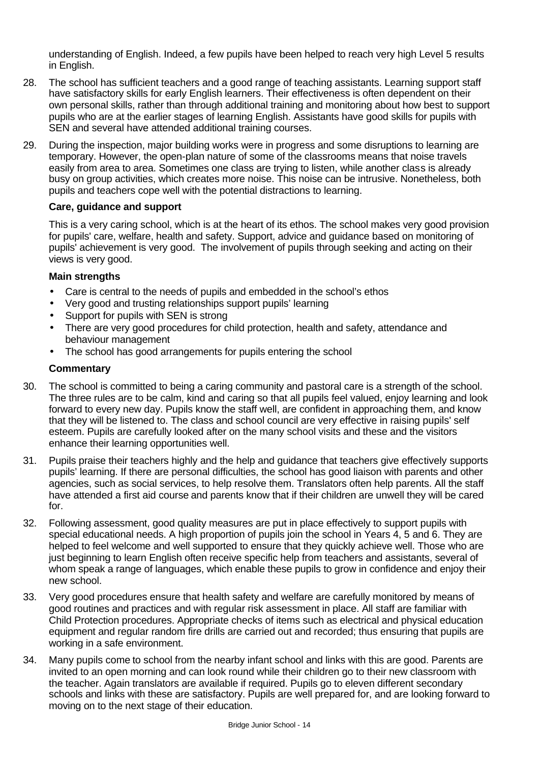understanding of English. Indeed, a few pupils have been helped to reach very high Level 5 results in English.

- 28. The school has sufficient teachers and a good range of teaching assistants. Learning support staff have satisfactory skills for early English learners. Their effectiveness is often dependent on their own personal skills, rather than through additional training and monitoring about how best to support pupils who are at the earlier stages of learning English. Assistants have good skills for pupils with SEN and several have attended additional training courses.
- 29. During the inspection, major building works were in progress and some disruptions to learning are temporary. However, the open-plan nature of some of the classrooms means that noise travels easily from area to area. Sometimes one class are trying to listen, while another class is already busy on group activities, which creates more noise. This noise can be intrusive. Nonetheless, both pupils and teachers cope well with the potential distractions to learning.

## **Care, guidance and support**

This is a very caring school, which is at the heart of its ethos. The school makes very good provision for pupils' care, welfare, health and safety. Support, advice and guidance based on monitoring of pupils' achievement is very good. The involvement of pupils through seeking and acting on their views is very good.

## **Main strengths**

- Care is central to the needs of pupils and embedded in the school's ethos
- Very good and trusting relationships support pupils' learning
- Support for pupils with SEN is strong
- There are very good procedures for child protection, health and safety, attendance and behaviour management
- The school has good arrangements for pupils entering the school

- 30. The school is committed to being a caring community and pastoral care is a strength of the school. The three rules are to be calm, kind and caring so that all pupils feel valued, enjoy learning and look forward to every new day. Pupils know the staff well, are confident in approaching them, and know that they will be listened to. The class and school council are very effective in raising pupils' self esteem. Pupils are carefully looked after on the many school visits and these and the visitors enhance their learning opportunities well.
- 31. Pupils praise their teachers highly and the help and guidance that teachers give effectively supports pupils' learning. If there are personal difficulties, the school has good liaison with parents and other agencies, such as social services, to help resolve them. Translators often help parents. All the staff have attended a first aid course and parents know that if their children are unwell they will be cared for.
- 32. Following assessment, good quality measures are put in place effectively to support pupils with special educational needs. A high proportion of pupils join the school in Years 4, 5 and 6. They are helped to feel welcome and well supported to ensure that they quickly achieve well. Those who are just beginning to learn English often receive specific help from teachers and assistants, several of whom speak a range of languages, which enable these pupils to grow in confidence and enjoy their new school.
- 33. Very good procedures ensure that health safety and welfare are carefully monitored by means of good routines and practices and with regular risk assessment in place. All staff are familiar with Child Protection procedures. Appropriate checks of items such as electrical and physical education equipment and regular random fire drills are carried out and recorded; thus ensuring that pupils are working in a safe environment.
- 34. Many pupils come to school from the nearby infant school and links with this are good. Parents are invited to an open morning and can look round while their children go to their new classroom with the teacher. Again translators are available if required. Pupils go to eleven different secondary schools and links with these are satisfactory. Pupils are well prepared for, and are looking forward to moving on to the next stage of their education.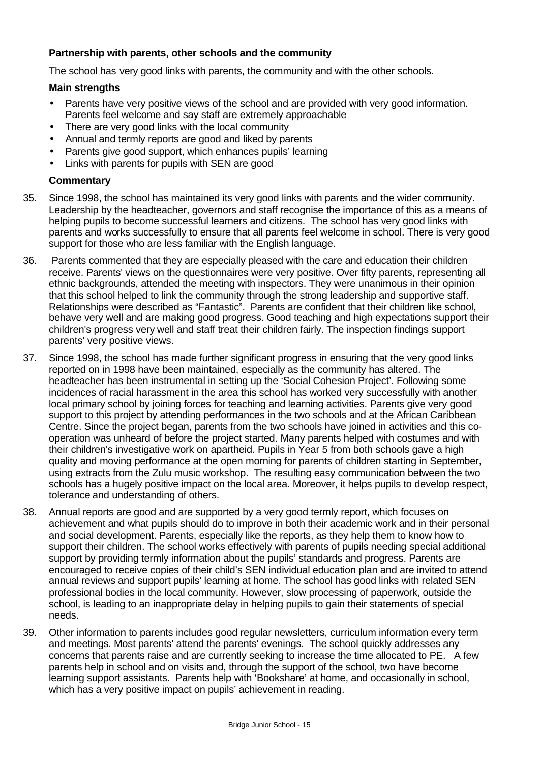## **Partnership with parents, other schools and the community**

The school has very good links with parents, the community and with the other schools.

#### **Main strengths**

- Parents have very positive views of the school and are provided with very good information. Parents feel welcome and say staff are extremely approachable
- There are very good links with the local community
- Annual and termly reports are good and liked by parents
- Parents give good support, which enhances pupils' learning
- Links with parents for pupils with SEN are good

- 35. Since 1998, the school has maintained its very good links with parents and the wider community. Leadership by the headteacher, governors and staff recognise the importance of this as a means of helping pupils to become successful learners and citizens. The school has very good links with parents and works successfully to ensure that all parents feel welcome in school. There is very good support for those who are less familiar with the English language.
- 36. Parents commented that they are especially pleased with the care and education their children receive. Parents' views on the questionnaires were very positive. Over fifty parents, representing all ethnic backgrounds, attended the meeting with inspectors. They were unanimous in their opinion that this school helped to link the community through the strong leadership and supportive staff. Relationships were described as "Fantastic". Parents are confident that their children like school, behave very well and are making good progress. Good teaching and high expectations support their children's progress very well and staff treat their children fairly. The inspection findings support parents' very positive views.
- 37. Since 1998, the school has made further significant progress in ensuring that the very good links reported on in 1998 have been maintained, especially as the community has altered. The headteacher has been instrumental in setting up the 'Social Cohesion Project'. Following some incidences of racial harassment in the area this school has worked very successfully with another local primary school by joining forces for teaching and learning activities. Parents give very good support to this project by attending performances in the two schools and at the African Caribbean Centre. Since the project began, parents from the two schools have joined in activities and this cooperation was unheard of before the project started. Many parents helped with costumes and with their children's investigative work on apartheid. Pupils in Year 5 from both schools gave a high quality and moving performance at the open morning for parents of children starting in September, using extracts from the Zulu music workshop. The resulting easy communication between the two schools has a hugely positive impact on the local area. Moreover, it helps pupils to develop respect, tolerance and understanding of others.
- 38. Annual reports are good and are supported by a very good termly report, which focuses on achievement and what pupils should do to improve in both their academic work and in their personal and social development. Parents, especially like the reports, as they help them to know how to support their children. The school works effectively with parents of pupils needing special additional support by providing termly information about the pupils' standards and progress. Parents are encouraged to receive copies of their child's SEN individual education plan and are invited to attend annual reviews and support pupils' learning at home. The school has good links with related SEN professional bodies in the local community. However, slow processing of paperwork, outside the school, is leading to an inappropriate delay in helping pupils to gain their statements of special needs.
- 39. Other information to parents includes good regular newsletters, curriculum information every term and meetings. Most parents' attend the parents' evenings. The school quickly addresses any concerns that parents raise and are currently seeking to increase the time allocated to PE. A few parents help in school and on visits and, through the support of the school, two have become learning support assistants. Parents help with 'Bookshare' at home, and occasionally in school, which has a very positive impact on pupils' achievement in reading.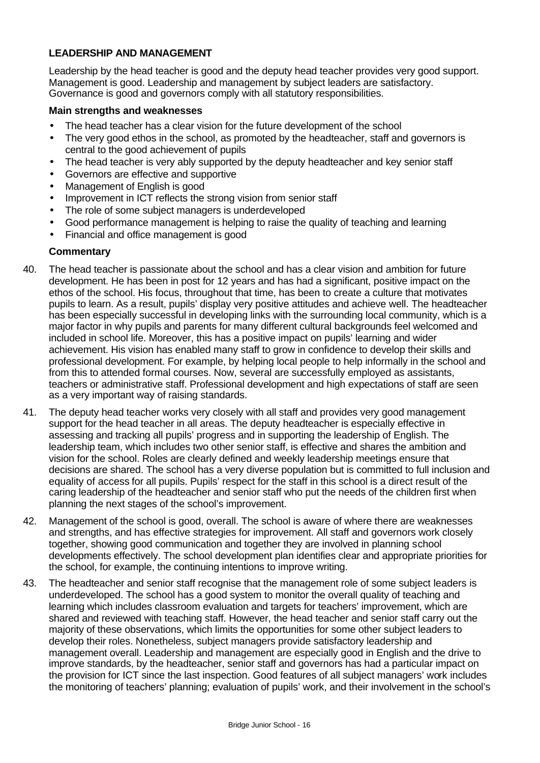## **LEADERSHIP AND MANAGEMENT**

Leadership by the head teacher is good and the deputy head teacher provides very good support. Management is good. Leadership and management by subject leaders are satisfactory. Governance is good and governors comply with all statutory responsibilities.

#### **Main strengths and weaknesses**

- The head teacher has a clear vision for the future development of the school
- The very good ethos in the school, as promoted by the headteacher, staff and governors is central to the good achievement of pupils
- The head teacher is very ably supported by the deputy headteacher and key senior staff
- Governors are effective and supportive
- Management of English is good
- Improvement in ICT reflects the strong vision from senior staff
- The role of some subject managers is underdeveloped
- Good performance management is helping to raise the quality of teaching and learning
- Financial and office management is good

- 40. The head teacher is passionate about the school and has a clear vision and ambition for future development. He has been in post for 12 years and has had a significant, positive impact on the ethos of the school. His focus, throughout that time, has been to create a culture that motivates pupils to learn. As a result, pupils' display very positive attitudes and achieve well. The headteacher has been especially successful in developing links with the surrounding local community, which is a major factor in why pupils and parents for many different cultural backgrounds feel welcomed and included in school life. Moreover, this has a positive impact on pupils' learning and wider achievement. His vision has enabled many staff to grow in confidence to develop their skills and professional development. For example, by helping local people to help informally in the school and from this to attended formal courses. Now, several are successfully employed as assistants, teachers or administrative staff. Professional development and high expectations of staff are seen as a very important way of raising standards.
- 41. The deputy head teacher works very closely with all staff and provides very good management support for the head teacher in all areas. The deputy headteacher is especially effective in assessing and tracking all pupils' progress and in supporting the leadership of English. The leadership team, which includes two other senior staff, is effective and shares the ambition and vision for the school. Roles are clearly defined and weekly leadership meetings ensure that decisions are shared. The school has a very diverse population but is committed to full inclusion and equality of access for all pupils. Pupils' respect for the staff in this school is a direct result of the caring leadership of the headteacher and senior staff who put the needs of the children first when planning the next stages of the school's improvement.
- 42. Management of the school is good, overall. The school is aware of where there are weaknesses and strengths, and has effective strategies for improvement. All staff and governors work closely together, showing good communication and together they are involved in planning school developments effectively. The school development plan identifies clear and appropriate priorities for the school, for example, the continuing intentions to improve writing.
- 43. The headteacher and senior staff recognise that the management role of some subject leaders is underdeveloped. The school has a good system to monitor the overall quality of teaching and learning which includes classroom evaluation and targets for teachers' improvement, which are shared and reviewed with teaching staff. However, the head teacher and senior staff carry out the majority of these observations, which limits the opportunities for some other subject leaders to develop their roles. Nonetheless, subject managers provide satisfactory leadership and management overall. Leadership and management are especially good in English and the drive to improve standards, by the headteacher, senior staff and governors has had a particular impact on the provision for ICT since the last inspection. Good features of all subject managers' work includes the monitoring of teachers' planning; evaluation of pupils' work, and their involvement in the school's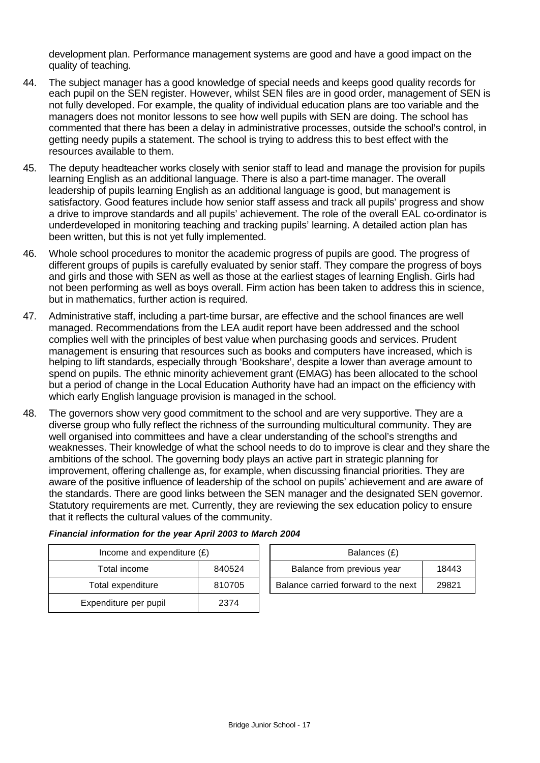development plan. Performance management systems are good and have a good impact on the quality of teaching.

- 44. The subject manager has a good knowledge of special needs and keeps good quality records for each pupil on the SEN register. However, whilst SEN files are in good order, management of SEN is not fully developed. For example, the quality of individual education plans are too variable and the managers does not monitor lessons to see how well pupils with SEN are doing. The school has commented that there has been a delay in administrative processes, outside the school's control, in getting needy pupils a statement. The school is trying to address this to best effect with the resources available to them.
- 45. The deputy headteacher works closely with senior staff to lead and manage the provision for pupils learning English as an additional language. There is also a part-time manager. The overall leadership of pupils learning English as an additional language is good, but management is satisfactory. Good features include how senior staff assess and track all pupils' progress and show a drive to improve standards and all pupils' achievement. The role of the overall EAL co-ordinator is underdeveloped in monitoring teaching and tracking pupils' learning. A detailed action plan has been written, but this is not yet fully implemented.
- 46. Whole school procedures to monitor the academic progress of pupils are good. The progress of different groups of pupils is carefully evaluated by senior staff. They compare the progress of boys and girls and those with SEN as well as those at the earliest stages of learning English. Girls had not been performing as well as boys overall. Firm action has been taken to address this in science, but in mathematics, further action is required.
- 47. Administrative staff, including a part-time bursar, are effective and the school finances are well managed. Recommendations from the LEA audit report have been addressed and the school complies well with the principles of best value when purchasing goods and services. Prudent management is ensuring that resources such as books and computers have increased, which is helping to lift standards, especially through 'Bookshare', despite a lower than average amount to spend on pupils. The ethnic minority achievement grant (EMAG) has been allocated to the school but a period of change in the Local Education Authority have had an impact on the efficiency with which early English language provision is managed in the school.
- 48. The governors show very good commitment to the school and are very supportive. They are a diverse group who fully reflect the richness of the surrounding multicultural community. They are well organised into committees and have a clear understanding of the school's strengths and weaknesses. Their knowledge of what the school needs to do to improve is clear and they share the ambitions of the school. The governing body plays an active part in strategic planning for improvement, offering challenge as, for example, when discussing financial priorities. They are aware of the positive influence of leadership of the school on pupils' achievement and are aware of the standards. There are good links between the SEN manager and the designated SEN governor. Statutory requirements are met. Currently, they are reviewing the sex education policy to ensure that it reflects the cultural values of the community.

| Income and expenditure $(E)$ |        |  | Balances (£)                   |
|------------------------------|--------|--|--------------------------------|
| Total income                 | 840524 |  | Balance from previous yea      |
| Total expenditure            | 810705 |  | Balance carried forward to the |
| Expenditure per pupil        | 2374   |  |                                |

| Income and expenditure $(E)$ |        | Balances (£)                        |       |
|------------------------------|--------|-------------------------------------|-------|
| Total income                 | 840524 | Balance from previous year          | 18443 |
| Total expenditure            | 810705 | Balance carried forward to the next | 29821 |

#### *Financial information for the year April 2003 to March 2004*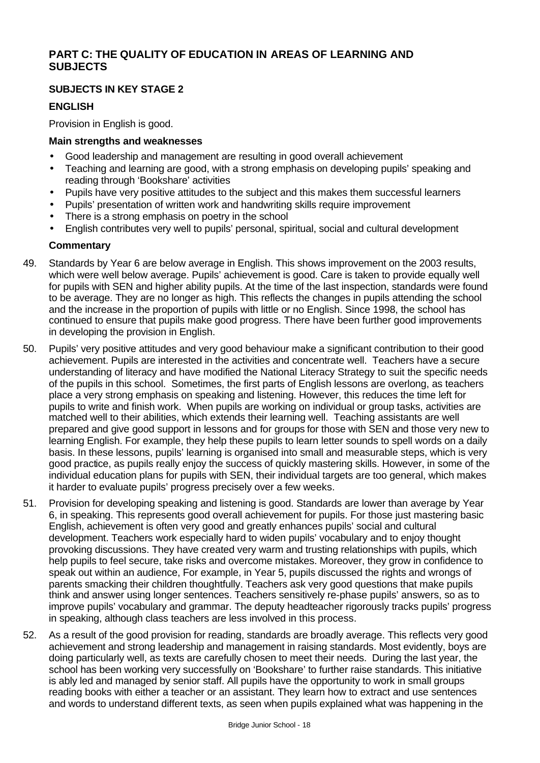# **PART C: THE QUALITY OF EDUCATION IN AREAS OF LEARNING AND SUBJECTS**

## **SUBJECTS IN KEY STAGE 2**

## **ENGLISH**

Provision in English is good.

#### **Main strengths and weaknesses**

- Good leadership and management are resulting in good overall achievement
- Teaching and learning are good, with a strong emphasis on developing pupils' speaking and reading through 'Bookshare' activities
- Pupils have very positive attitudes to the subject and this makes them successful learners
- Pupils' presentation of written work and handwriting skills require improvement
- There is a strong emphasis on poetry in the school
- English contributes very well to pupils' personal, spiritual, social and cultural development

- 49. Standards by Year 6 are below average in English. This shows improvement on the 2003 results, which were well below average. Pupils' achievement is good. Care is taken to provide equally well for pupils with SEN and higher ability pupils. At the time of the last inspection, standards were found to be average. They are no longer as high. This reflects the changes in pupils attending the school and the increase in the proportion of pupils with little or no English. Since 1998, the school has continued to ensure that pupils make good progress. There have been further good improvements in developing the provision in English.
- 50. Pupils' very positive attitudes and very good behaviour make a significant contribution to their good achievement. Pupils are interested in the activities and concentrate well. Teachers have a secure understanding of literacy and have modified the National Literacy Strategy to suit the specific needs of the pupils in this school. Sometimes, the first parts of English lessons are overlong, as teachers place a very strong emphasis on speaking and listening. However, this reduces the time left for pupils to write and finish work. When pupils are working on individual or group tasks, activities are matched well to their abilities, which extends their learning well. Teaching assistants are well prepared and give good support in lessons and for groups for those with SEN and those very new to learning English. For example, they help these pupils to learn letter sounds to spell words on a daily basis. In these lessons, pupils' learning is organised into small and measurable steps, which is very good practice, as pupils really enjoy the success of quickly mastering skills. However, in some of the individual education plans for pupils with SEN, their individual targets are too general, which makes it harder to evaluate pupils' progress precisely over a few weeks.
- 51. Provision for developing speaking and listening is good. Standards are lower than average by Year 6, in speaking. This represents good overall achievement for pupils. For those just mastering basic English, achievement is often very good and greatly enhances pupils' social and cultural development. Teachers work especially hard to widen pupils' vocabulary and to enjoy thought provoking discussions. They have created very warm and trusting relationships with pupils, which help pupils to feel secure, take risks and overcome mistakes. Moreover, they grow in confidence to speak out within an audience, For example, in Year 5, pupils discussed the rights and wrongs of parents smacking their children thoughtfully. Teachers ask very good questions that make pupils think and answer using longer sentences. Teachers sensitively re-phase pupils' answers, so as to improve pupils' vocabulary and grammar. The deputy headteacher rigorously tracks pupils' progress in speaking, although class teachers are less involved in this process.
- 52. As a result of the good provision for reading, standards are broadly average. This reflects very good achievement and strong leadership and management in raising standards. Most evidently, boys are doing particularly well, as texts are carefully chosen to meet their needs. During the last year, the school has been working very successfully on 'Bookshare' to further raise standards. This initiative is ably led and managed by senior staff. All pupils have the opportunity to work in small groups reading books with either a teacher or an assistant. They learn how to extract and use sentences and words to understand different texts, as seen when pupils explained what was happening in the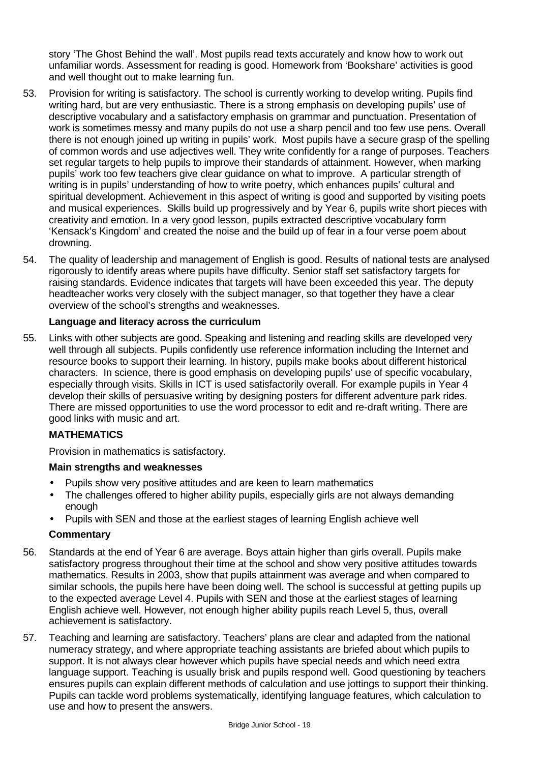story 'The Ghost Behind the wall'. Most pupils read texts accurately and know how to work out unfamiliar words. Assessment for reading is good. Homework from 'Bookshare' activities is good and well thought out to make learning fun.

- 53. Provision for writing is satisfactory. The school is currently working to develop writing. Pupils find writing hard, but are very enthusiastic. There is a strong emphasis on developing pupils' use of descriptive vocabulary and a satisfactory emphasis on grammar and punctuation. Presentation of work is sometimes messy and many pupils do not use a sharp pencil and too few use pens. Overall there is not enough joined up writing in pupils' work. Most pupils have a secure grasp of the spelling of common words and use adjectives well. They write confidently for a range of purposes. Teachers set regular targets to help pupils to improve their standards of attainment. However, when marking pupils' work too few teachers give clear guidance on what to improve. A particular strength of writing is in pupils' understanding of how to write poetry, which enhances pupils' cultural and spiritual development. Achievement in this aspect of writing is good and supported by visiting poets and musical experiences. Skills build up progressively and by Year 6, pupils write short pieces with creativity and emotion. In a very good lesson, pupils extracted descriptive vocabulary form 'Kensack's Kingdom' and created the noise and the build up of fear in a four verse poem about drowning.
- 54. The quality of leadership and management of English is good. Results of national tests are analysed rigorously to identify areas where pupils have difficulty. Senior staff set satisfactory targets for raising standards. Evidence indicates that targets will have been exceeded this year. The deputy headteacher works very closely with the subject manager, so that together they have a clear overview of the school's strengths and weaknesses.

## **Language and literacy across the curriculum**

55. Links with other subjects are good. Speaking and listening and reading skills are developed very well through all subjects. Pupils confidently use reference information including the Internet and resource books to support their learning. In history, pupils make books about different historical characters. In science, there is good emphasis on developing pupils' use of specific vocabulary, especially through visits. Skills in ICT is used satisfactorily overall. For example pupils in Year 4 develop their skills of persuasive writing by designing posters for different adventure park rides. There are missed opportunities to use the word processor to edit and re-draft writing. There are good links with music and art.

#### **MATHEMATICS**

Provision in mathematics is satisfactory.

#### **Main strengths and weaknesses**

- Pupils show very positive attitudes and are keen to learn mathematics
- The challenges offered to higher ability pupils, especially girls are not always demanding enough
- Pupils with SEN and those at the earliest stages of learning English achieve well

- 56. Standards at the end of Year 6 are average. Boys attain higher than girls overall. Pupils make satisfactory progress throughout their time at the school and show very positive attitudes towards mathematics. Results in 2003, show that pupils attainment was average and when compared to similar schools, the pupils here have been doing well. The school is successful at getting pupils up to the expected average Level 4. Pupils with SEN and those at the earliest stages of learning English achieve well. However, not enough higher ability pupils reach Level 5, thus, overall achievement is satisfactory.
- 57. Teaching and learning are satisfactory. Teachers' plans are clear and adapted from the national numeracy strategy, and where appropriate teaching assistants are briefed about which pupils to support. It is not always clear however which pupils have special needs and which need extra language support. Teaching is usually brisk and pupils respond well. Good questioning by teachers ensures pupils can explain different methods of calculation and use jottings to support their thinking. Pupils can tackle word problems systematically, identifying language features, which calculation to use and how to present the answers.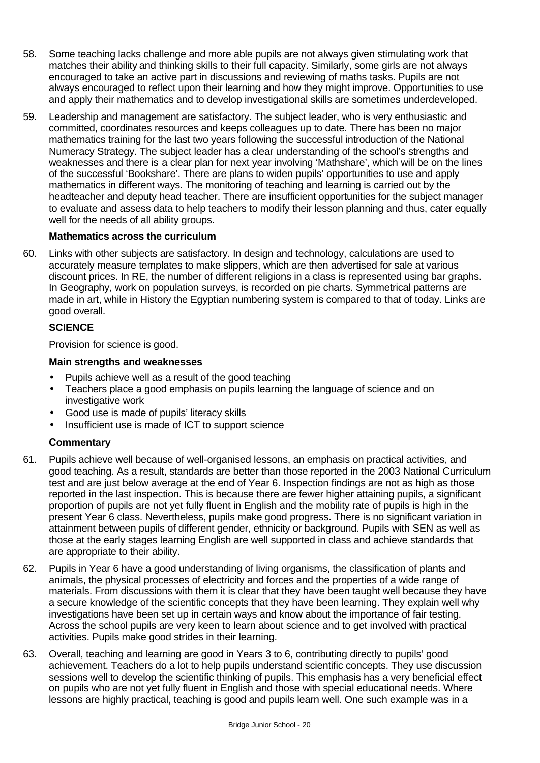- 58. Some teaching lacks challenge and more able pupils are not always given stimulating work that matches their ability and thinking skills to their full capacity. Similarly, some girls are not always encouraged to take an active part in discussions and reviewing of maths tasks. Pupils are not always encouraged to reflect upon their learning and how they might improve. Opportunities to use and apply their mathematics and to develop investigational skills are sometimes underdeveloped.
- 59. Leadership and management are satisfactory. The subject leader, who is very enthusiastic and committed, coordinates resources and keeps colleagues up to date. There has been no major mathematics training for the last two years following the successful introduction of the National Numeracy Strategy. The subject leader has a clear understanding of the school's strengths and weaknesses and there is a clear plan for next year involving 'Mathshare', which will be on the lines of the successful 'Bookshare'. There are plans to widen pupils' opportunities to use and apply mathematics in different ways. The monitoring of teaching and learning is carried out by the headteacher and deputy head teacher. There are insufficient opportunities for the subject manager to evaluate and assess data to help teachers to modify their lesson planning and thus, cater equally well for the needs of all ability groups.

## **Mathematics across the curriculum**

60. Links with other subjects are satisfactory. In design and technology, calculations are used to accurately measure templates to make slippers, which are then advertised for sale at various discount prices. In RE, the number of different religions in a class is represented using bar graphs. In Geography, work on population surveys, is recorded on pie charts. Symmetrical patterns are made in art, while in History the Egyptian numbering system is compared to that of today. Links are good overall.

## **SCIENCE**

Provision for science is good.

# **Main strengths and weaknesses**

- Pupils achieve well as a result of the good teaching
- Teachers place a good emphasis on pupils learning the language of science and on investigative work
- Good use is made of pupils' literacy skills
- Insufficient use is made of ICT to support science

- 61. Pupils achieve well because of well-organised lessons, an emphasis on practical activities, and good teaching. As a result, standards are better than those reported in the 2003 National Curriculum test and are just below average at the end of Year 6. Inspection findings are not as high as those reported in the last inspection. This is because there are fewer higher attaining pupils, a significant proportion of pupils are not yet fully fluent in English and the mobility rate of pupils is high in the present Year 6 class. Nevertheless, pupils make good progress. There is no significant variation in attainment between pupils of different gender, ethnicity or background. Pupils with SEN as well as those at the early stages learning English are well supported in class and achieve standards that are appropriate to their ability.
- 62. Pupils in Year 6 have a good understanding of living organisms, the classification of plants and animals, the physical processes of electricity and forces and the properties of a wide range of materials. From discussions with them it is clear that they have been taught well because they have a secure knowledge of the scientific concepts that they have been learning. They explain well why investigations have been set up in certain ways and know about the importance of fair testing. Across the school pupils are very keen to learn about science and to get involved with practical activities. Pupils make good strides in their learning.
- 63. Overall, teaching and learning are good in Years 3 to 6, contributing directly to pupils' good achievement. Teachers do a lot to help pupils understand scientific concepts. They use discussion sessions well to develop the scientific thinking of pupils. This emphasis has a very beneficial effect on pupils who are not yet fully fluent in English and those with special educational needs. Where lessons are highly practical, teaching is good and pupils learn well. One such example was in a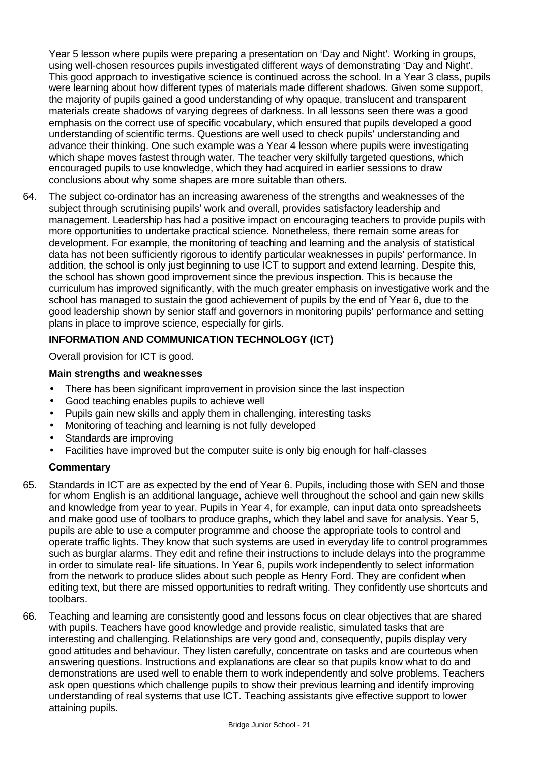Year 5 lesson where pupils were preparing a presentation on 'Day and Night'. Working in groups, using well-chosen resources pupils investigated different ways of demonstrating 'Day and Night'. This good approach to investigative science is continued across the school. In a Year 3 class, pupils were learning about how different types of materials made different shadows. Given some support, the majority of pupils gained a good understanding of why opaque, translucent and transparent materials create shadows of varying degrees of darkness. In all lessons seen there was a good emphasis on the correct use of specific vocabulary, which ensured that pupils developed a good understanding of scientific terms. Questions are well used to check pupils' understanding and advance their thinking. One such example was a Year 4 lesson where pupils were investigating which shape moves fastest through water. The teacher very skilfully targeted questions, which encouraged pupils to use knowledge, which they had acquired in earlier sessions to draw conclusions about why some shapes are more suitable than others.

64. The subject co-ordinator has an increasing awareness of the strengths and weaknesses of the subject through scrutinising pupils' work and overall, provides satisfactory leadership and management. Leadership has had a positive impact on encouraging teachers to provide pupils with more opportunities to undertake practical science. Nonetheless, there remain some areas for development. For example, the monitoring of teaching and learning and the analysis of statistical data has not been sufficiently rigorous to identify particular weaknesses in pupils' performance. In addition, the school is only just beginning to use ICT to support and extend learning. Despite this, the school has shown good improvement since the previous inspection. This is because the curriculum has improved significantly, with the much greater emphasis on investigative work and the school has managed to sustain the good achievement of pupils by the end of Year 6, due to the good leadership shown by senior staff and governors in monitoring pupils' performance and setting plans in place to improve science, especially for girls.

## **INFORMATION AND COMMUNICATION TECHNOLOGY (ICT)**

Overall provision for ICT is good.

## **Main strengths and weaknesses**

- There has been significant improvement in provision since the last inspection
- Good teaching enables pupils to achieve well
- Pupils gain new skills and apply them in challenging, interesting tasks
- Monitoring of teaching and learning is not fully developed
- Standards are improving
- Facilities have improved but the computer suite is only big enough for half-classes

- 65. Standards in ICT are as expected by the end of Year 6. Pupils, including those with SEN and those for whom English is an additional language, achieve well throughout the school and gain new skills and knowledge from year to year. Pupils in Year 4, for example, can input data onto spreadsheets and make good use of toolbars to produce graphs, which they label and save for analysis. Year 5, pupils are able to use a computer programme and choose the appropriate tools to control and operate traffic lights. They know that such systems are used in everyday life to control programmes such as burglar alarms. They edit and refine their instructions to include delays into the programme in order to simulate real- life situations. In Year 6, pupils work independently to select information from the network to produce slides about such people as Henry Ford. They are confident when editing text, but there are missed opportunities to redraft writing. They confidently use shortcuts and toolbars.
- 66. Teaching and learning are consistently good and lessons focus on clear objectives that are shared with pupils. Teachers have good knowledge and provide realistic, simulated tasks that are interesting and challenging. Relationships are very good and, consequently, pupils display very good attitudes and behaviour. They listen carefully, concentrate on tasks and are courteous when answering questions. Instructions and explanations are clear so that pupils know what to do and demonstrations are used well to enable them to work independently and solve problems. Teachers ask open questions which challenge pupils to show their previous learning and identify improving understanding of real systems that use ICT. Teaching assistants give effective support to lower attaining pupils.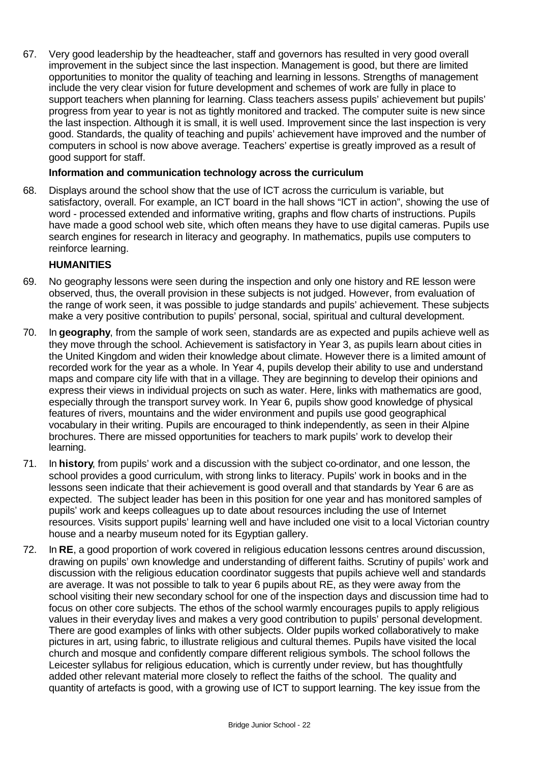67. Very good leadership by the headteacher, staff and governors has resulted in very good overall improvement in the subject since the last inspection. Management is good, but there are limited opportunities to monitor the quality of teaching and learning in lessons. Strengths of management include the very clear vision for future development and schemes of work are fully in place to support teachers when planning for learning. Class teachers assess pupils' achievement but pupils' progress from year to year is not as tightly monitored and tracked. The computer suite is new since the last inspection. Although it is small, it is well used. Improvement since the last inspection is very good. Standards, the quality of teaching and pupils' achievement have improved and the number of computers in school is now above average. Teachers' expertise is greatly improved as a result of good support for staff.

#### **Information and communication technology across the curriculum**

68. Displays around the school show that the use of ICT across the curriculum is variable, but satisfactory, overall. For example, an ICT board in the hall shows "ICT in action", showing the use of word - processed extended and informative writing, graphs and flow charts of instructions. Pupils have made a good school web site, which often means they have to use digital cameras. Pupils use search engines for research in literacy and geography. In mathematics, pupils use computers to reinforce learning.

## **HUMANITIES**

- 69. No geography lessons were seen during the inspection and only one history and RE lesson were observed, thus, the overall provision in these subjects is not judged. However, from evaluation of the range of work seen, it was possible to judge standards and pupils' achievement. These subjects make a very positive contribution to pupils' personal, social, spiritual and cultural development.
- 70. In **geography**, from the sample of work seen, standards are as expected and pupils achieve well as they move through the school. Achievement is satisfactory in Year 3, as pupils learn about cities in the United Kingdom and widen their knowledge about climate. However there is a limited amount of recorded work for the year as a whole. In Year 4, pupils develop their ability to use and understand maps and compare city life with that in a village. They are beginning to develop their opinions and express their views in individual projects on such as water. Here, links with mathematics are good, especially through the transport survey work. In Year 6, pupils show good knowledge of physical features of rivers, mountains and the wider environment and pupils use good geographical vocabulary in their writing. Pupils are encouraged to think independently, as seen in their Alpine brochures. There are missed opportunities for teachers to mark pupils' work to develop their learning.
- 71. In **history**, from pupils' work and a discussion with the subject co-ordinator, and one lesson, the school provides a good curriculum, with strong links to literacy. Pupils' work in books and in the lessons seen indicate that their achievement is good overall and that standards by Year 6 are as expected. The subject leader has been in this position for one year and has monitored samples of pupils' work and keeps colleagues up to date about resources including the use of Internet resources. Visits support pupils' learning well and have included one visit to a local Victorian country house and a nearby museum noted for its Egyptian gallery.
- 72. In **RE**, a good proportion of work covered in religious education lessons centres around discussion, drawing on pupils' own knowledge and understanding of different faiths. Scrutiny of pupils' work and discussion with the religious education coordinator suggests that pupils achieve well and standards are average. It was not possible to talk to year 6 pupils about RE, as they were away from the school visiting their new secondary school for one of the inspection days and discussion time had to focus on other core subjects. The ethos of the school warmly encourages pupils to apply religious values in their everyday lives and makes a very good contribution to pupils' personal development. There are good examples of links with other subjects. Older pupils worked collaboratively to make pictures in art, using fabric, to illustrate religious and cultural themes. Pupils have visited the local church and mosque and confidently compare different religious symbols. The school follows the Leicester syllabus for religious education, which is currently under review, but has thoughtfully added other relevant material more closely to reflect the faiths of the school. The quality and quantity of artefacts is good, with a growing use of ICT to support learning. The key issue from the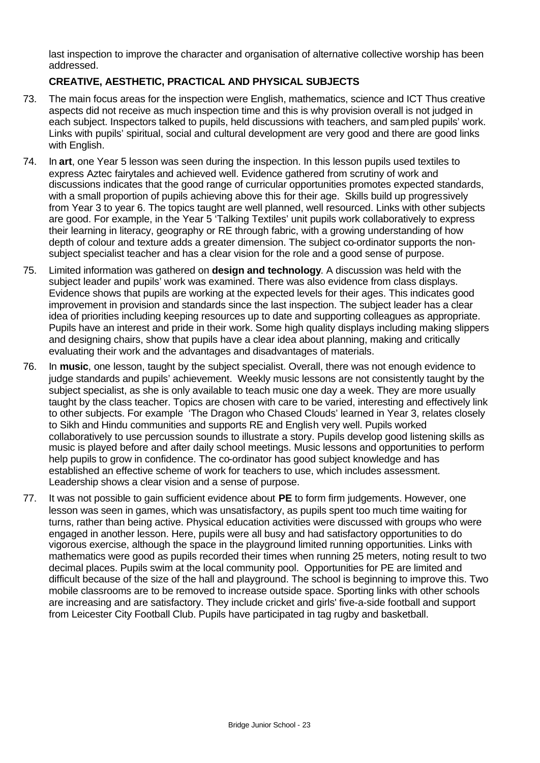last inspection to improve the character and organisation of alternative collective worship has been addressed.

# **CREATIVE, AESTHETIC, PRACTICAL AND PHYSICAL SUBJECTS**

- 73. The main focus areas for the inspection were English, mathematics, science and ICT Thus creative aspects did not receive as much inspection time and this is why provision overall is not judged in each subject. Inspectors talked to pupils, held discussions with teachers, and sampled pupils' work. Links with pupils' spiritual, social and cultural development are very good and there are good links with English.
- 74. In **art**, one Year 5 lesson was seen during the inspection. In this lesson pupils used textiles to express Aztec fairytales and achieved well. Evidence gathered from scrutiny of work and discussions indicates that the good range of curricular opportunities promotes expected standards, with a small proportion of pupils achieving above this for their age. Skills build up progressively from Year 3 to year 6. The topics taught are well planned, well resourced. Links with other subjects are good. For example, in the Year 5 'Talking Textiles' unit pupils work collaboratively to express their learning in literacy, geography or RE through fabric, with a growing understanding of how depth of colour and texture adds a greater dimension. The subject co-ordinator supports the nonsubject specialist teacher and has a clear vision for the role and a good sense of purpose.
- 75. Limited information was gathered on **design and technology**. A discussion was held with the subject leader and pupils' work was examined. There was also evidence from class displays. Evidence shows that pupils are working at the expected levels for their ages. This indicates good improvement in provision and standards since the last inspection. The subject leader has a clear idea of priorities including keeping resources up to date and supporting colleagues as appropriate. Pupils have an interest and pride in their work. Some high quality displays including making slippers and designing chairs, show that pupils have a clear idea about planning, making and critically evaluating their work and the advantages and disadvantages of materials.
- 76. In **music**, one lesson, taught by the subject specialist. Overall, there was not enough evidence to judge standards and pupils' achievement. Weekly music lessons are not consistently taught by the subject specialist, as she is only available to teach music one day a week. They are more usually taught by the class teacher. Topics are chosen with care to be varied, interesting and effectively link to other subjects. For example 'The Dragon who Chased Clouds' learned in Year 3, relates closely to Sikh and Hindu communities and supports RE and English very well. Pupils worked collaboratively to use percussion sounds to illustrate a story. Pupils develop good listening skills as music is played before and after daily school meetings. Music lessons and opportunities to perform help pupils to grow in confidence. The co-ordinator has good subject knowledge and has established an effective scheme of work for teachers to use, which includes assessment. Leadership shows a clear vision and a sense of purpose.
- 77. It was not possible to gain sufficient evidence about **PE** to form firm judgements. However, one lesson was seen in games, which was unsatisfactory, as pupils spent too much time waiting for turns, rather than being active. Physical education activities were discussed with groups who were engaged in another lesson. Here, pupils were all busy and had satisfactory opportunities to do vigorous exercise, although the space in the playground limited running opportunities. Links with mathematics were good as pupils recorded their times when running 25 meters, noting result to two decimal places. Pupils swim at the local community pool. Opportunities for PE are limited and difficult because of the size of the hall and playground. The school is beginning to improve this. Two mobile classrooms are to be removed to increase outside space. Sporting links with other schools are increasing and are satisfactory. They include cricket and girls' five-a-side football and support from Leicester City Football Club. Pupils have participated in tag rugby and basketball.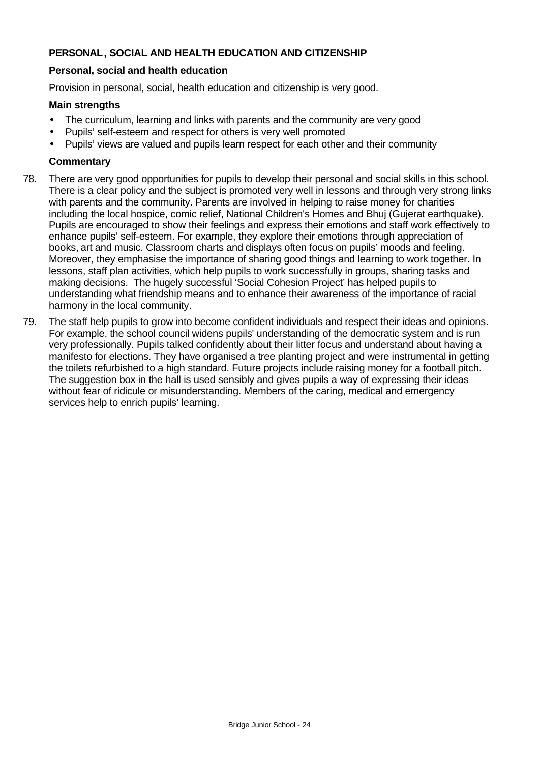## **PERSONAL, SOCIAL AND HEALTH EDUCATION AND CITIZENSHIP**

#### **Personal, social and health education**

Provision in personal, social, health education and citizenship is very good.

#### **Main strengths**

- The curriculum, learning and links with parents and the community are very good
- Pupils' self-esteem and respect for others is very well promoted
- Pupils' views are valued and pupils learn respect for each other and their community

- 78. There are very good opportunities for pupils to develop their personal and social skills in this school. There is a clear policy and the subject is promoted very well in lessons and through very strong links with parents and the community. Parents are involved in helping to raise money for charities including the local hospice, comic relief, National Children's Homes and Bhuj (Gujerat earthquake). Pupils are encouraged to show their feelings and express their emotions and staff work effectively to enhance pupils' self-esteem. For example, they explore their emotions through appreciation of books, art and music. Classroom charts and displays often focus on pupils' moods and feeling. Moreover, they emphasise the importance of sharing good things and learning to work together. In lessons, staff plan activities, which help pupils to work successfully in groups, sharing tasks and making decisions. The hugely successful 'Social Cohesion Project' has helped pupils to understanding what friendship means and to enhance their awareness of the importance of racial harmony in the local community.
- 79. The staff help pupils to grow into become confident individuals and respect their ideas and opinions. For example, the school council widens pupils' understanding of the democratic system and is run very professionally. Pupils talked confidently about their litter focus and understand about having a manifesto for elections. They have organised a tree planting project and were instrumental in getting the toilets refurbished to a high standard. Future projects include raising money for a football pitch. The suggestion box in the hall is used sensibly and gives pupils a way of expressing their ideas without fear of ridicule or misunderstanding. Members of the caring, medical and emergency services help to enrich pupils' learning.